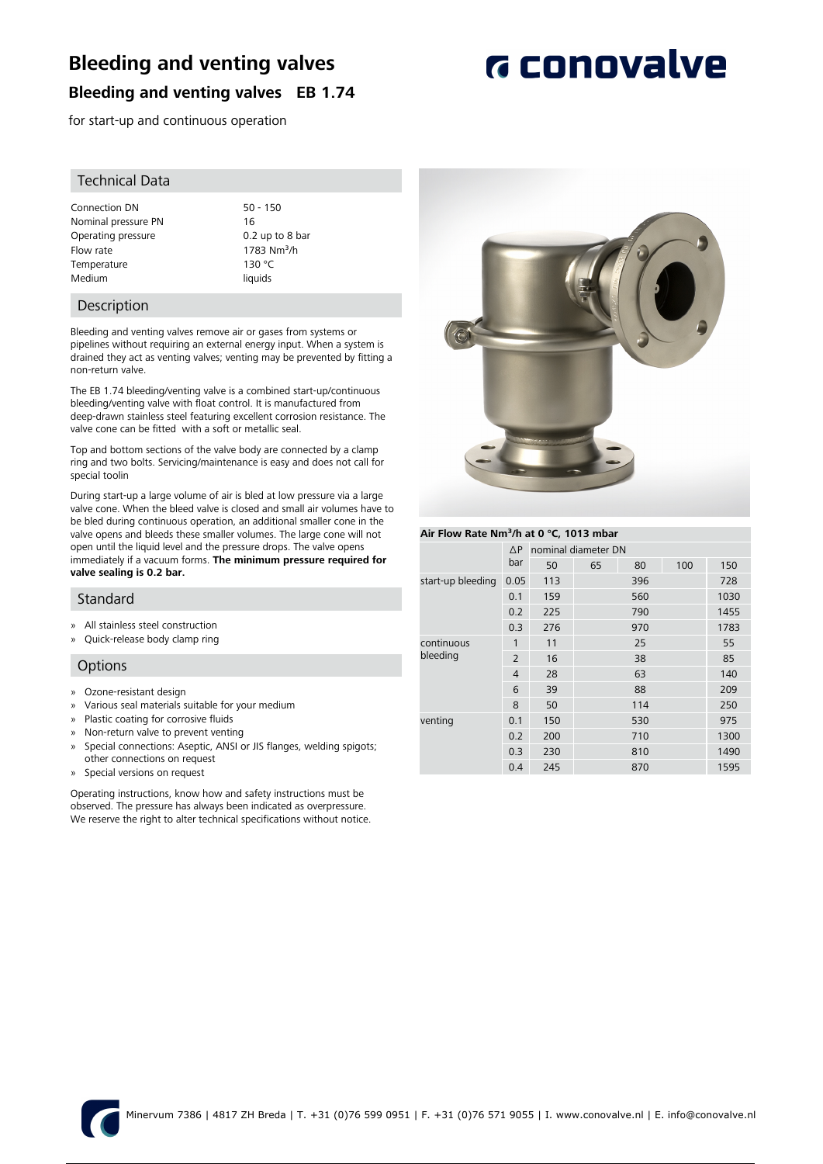## **Bleeding and venting valves**

### **Bleeding and venting valves EB 1.74**

for start-up and continuous operation

### Technical Data

Connection DN 50 - 150 Nominal pressure PN 16 Operating pressure 0.2 up to 8 bar Flow rate  $\frac{1783 \text{ Nm}^3}{h}$ <br>Temperature 130 °C Temperature Medium liquids

### **Description**

Bleeding and venting valves remove air or gases from systems or pipelines without requiring an external energy input. When a system is drained they act as venting valves; venting may be prevented by fitting a non-return valve.

The EB 1.74 bleeding/venting valve is a combined start-up/continuous bleeding/venting valve with float control. It is manufactured from deep-drawn stainless steel featuring excellent corrosion resistance. The valve cone can be fitted with a soft or metallic seal.

Top and bottom sections of the valve body are connected by a clamp ring and two bolts. Servicing/maintenance is easy and does not call for special toolin

During start-up a large volume of air is bled at low pressure via a large valve cone. When the bleed valve is closed and small air volumes have to be bled during continuous operation, an additional smaller cone in the valve opens and bleeds these smaller volumes. The large cone will not open until the liquid level and the pressure drops. The valve opens immediately if a vacuum forms. **The minimum pressure required for valve sealing is 0.2 bar.**

### Standard

- » All stainless steel construction
- » Quick-release body clamp ring

### **Options**

- » Ozone-resistant design
- » Various seal materials suitable for your medium
- » Plastic coating for corrosive fluids
- » Non-return valve to prevent venting
- » Special connections: Aseptic, ANSI or JIS flanges, welding spigots; other connections on request
- » Special versions on request

Operating instructions, know how and safety instructions must be observed. The pressure has always been indicated as overpressure. We reserve the right to alter technical specifications without notice.



#### **Air Flow Rate Nm³/h at 0 °C, 1013 mbar**

|                        | $\Delta P$     | nominal diameter DN |    |     |     |      |  |
|------------------------|----------------|---------------------|----|-----|-----|------|--|
|                        |                |                     |    |     |     |      |  |
|                        | bar            | 50                  | 65 | 80  | 100 | 150  |  |
| start-up bleeding      | 0.05           | 113                 |    | 396 |     | 728  |  |
|                        | 0.1            | 159                 |    | 560 |     | 1030 |  |
|                        | 0.2            | 225                 |    | 790 |     | 1455 |  |
|                        | 0.3            | 276                 |    | 970 |     | 1783 |  |
| continuous<br>bleeding | 1              | 11                  |    | 25  |     | 55   |  |
|                        | $\overline{2}$ | 16                  |    | 38  |     | 85   |  |
|                        | $\overline{4}$ | 28                  |    | 63  |     | 140  |  |
|                        | 6              | 39                  |    | 88  |     | 209  |  |
|                        | 8              | 50                  |    | 114 |     | 250  |  |
| venting                | 0.1            | 150                 |    | 530 |     | 975  |  |
|                        | 0.2            | 200                 |    | 710 |     | 1300 |  |
|                        | 0.3            | 230                 |    | 810 |     | 1490 |  |
|                        | 0.4            | 245                 |    | 870 |     | 1595 |  |
|                        |                |                     |    |     |     |      |  |



# **G** conovalve